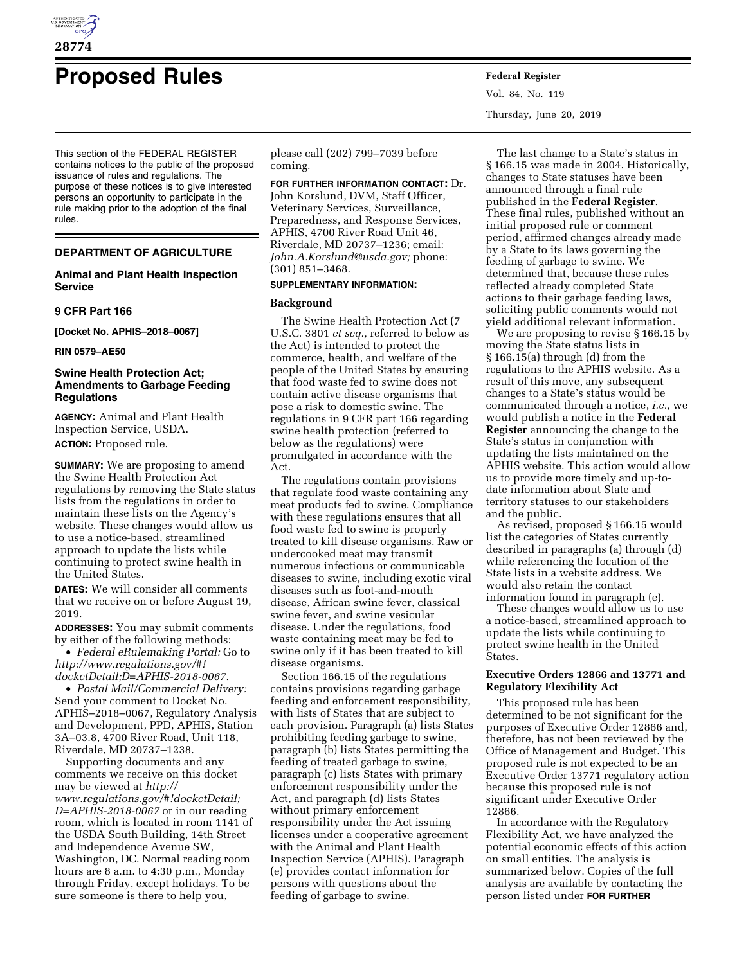

# **Proposed Rules Federal Register**

This section of the FEDERAL REGISTER contains notices to the public of the proposed issuance of rules and regulations. The purpose of these notices is to give interested persons an opportunity to participate in the rule making prior to the adoption of the final rules.

# **DEPARTMENT OF AGRICULTURE**

# **Animal and Plant Health Inspection Service**

# **9 CFR Part 166**

**[Docket No. APHIS–2018–0067]** 

## **RIN 0579–AE50**

# **Swine Health Protection Act; Amendments to Garbage Feeding Regulations**

**AGENCY:** Animal and Plant Health Inspection Service, USDA. **ACTION:** Proposed rule.

**SUMMARY:** We are proposing to amend the Swine Health Protection Act regulations by removing the State status lists from the regulations in order to maintain these lists on the Agency's website. These changes would allow us to use a notice-based, streamlined approach to update the lists while continuing to protect swine health in the United States.

**DATES:** We will consider all comments that we receive on or before August 19, 2019.

**ADDRESSES:** You may submit comments by either of the following methods:

• *Federal eRulemaking Portal:* Go to *[http://www.regulations.gov/#!](http://www.regulations.gov/#!docketDetail;D=APHIS-2018-0067) [docketDetail;D=APHIS-2018-0067.](http://www.regulations.gov/#!docketDetail;D=APHIS-2018-0067)* 

• *Postal Mail/Commercial Delivery:*  Send your comment to Docket No. APHIS–2018–0067, Regulatory Analysis and Development, PPD, APHIS, Station 3A–03.8, 4700 River Road, Unit 118, Riverdale, MD 20737–1238.

Supporting documents and any comments we receive on this docket may be viewed at *[http://](http://www.regulations.gov/#!docketDetail;D=APHIS-2018-0067) [www.regulations.gov/#!docketDetail;](http://www.regulations.gov/#!docketDetail;D=APHIS-2018-0067) [D=APHIS-2018-0067](http://www.regulations.gov/#!docketDetail;D=APHIS-2018-0067)* or in our reading room, which is located in room 1141 of the USDA South Building, 14th Street and Independence Avenue SW, Washington, DC. Normal reading room hours are 8 a.m. to 4:30 p.m., Monday through Friday, except holidays. To be sure someone is there to help you,

please call (202) 799–7039 before coming.

**FOR FURTHER INFORMATION CONTACT:** Dr. John Korslund, DVM, Staff Officer, Veterinary Services, Surveillance, Preparedness, and Response Services, APHIS, 4700 River Road Unit 46, Riverdale, MD 20737–1236; email: *[John.A.Korslund@usda.gov;](mailto:John.A.Korslund@usda.gov)* phone: (301) 851–3468.

## **SUPPLEMENTARY INFORMATION:**

## **Background**

The Swine Health Protection Act (7 U.S.C. 3801 *et seq.,* referred to below as the Act) is intended to protect the commerce, health, and welfare of the people of the United States by ensuring that food waste fed to swine does not contain active disease organisms that pose a risk to domestic swine. The regulations in 9 CFR part 166 regarding swine health protection (referred to below as the regulations) were promulgated in accordance with the Act.

The regulations contain provisions that regulate food waste containing any meat products fed to swine. Compliance with these regulations ensures that all food waste fed to swine is properly treated to kill disease organisms. Raw or undercooked meat may transmit numerous infectious or communicable diseases to swine, including exotic viral diseases such as foot-and-mouth disease, African swine fever, classical swine fever, and swine vesicular disease. Under the regulations, food waste containing meat may be fed to swine only if it has been treated to kill disease organisms.

Section 166.15 of the regulations contains provisions regarding garbage feeding and enforcement responsibility, with lists of States that are subject to each provision. Paragraph (a) lists States prohibiting feeding garbage to swine, paragraph (b) lists States permitting the feeding of treated garbage to swine, paragraph (c) lists States with primary enforcement responsibility under the Act, and paragraph (d) lists States without primary enforcement responsibility under the Act issuing licenses under a cooperative agreement with the Animal and Plant Health Inspection Service (APHIS). Paragraph (e) provides contact information for persons with questions about the feeding of garbage to swine.

Vol. 84, No. 119 Thursday, June 20, 2019

The last change to a State's status in § 166.15 was made in 2004. Historically, changes to State statuses have been announced through a final rule published in the **Federal Register**. These final rules, published without an initial proposed rule or comment period, affirmed changes already made by a State to its laws governing the feeding of garbage to swine. We determined that, because these rules reflected already completed State actions to their garbage feeding laws, soliciting public comments would not yield additional relevant information.

We are proposing to revise § 166.15 by moving the State status lists in § 166.15(a) through (d) from the regulations to the APHIS website. As a result of this move, any subsequent changes to a State's status would be communicated through a notice, *i.e.,* we would publish a notice in the **Federal Register** announcing the change to the State's status in conjunction with updating the lists maintained on the APHIS website. This action would allow us to provide more timely and up-todate information about State and territory statuses to our stakeholders and the public.

As revised, proposed § 166.15 would list the categories of States currently described in paragraphs (a) through (d) while referencing the location of the State lists in a website address. We would also retain the contact information found in paragraph (e).

These changes would allow us to use a notice-based, streamlined approach to update the lists while continuing to protect swine health in the United States.

# **Executive Orders 12866 and 13771 and Regulatory Flexibility Act**

This proposed rule has been determined to be not significant for the purposes of Executive Order 12866 and, therefore, has not been reviewed by the Office of Management and Budget. This proposed rule is not expected to be an Executive Order 13771 regulatory action because this proposed rule is not significant under Executive Order 12866.

In accordance with the Regulatory Flexibility Act, we have analyzed the potential economic effects of this action on small entities. The analysis is summarized below. Copies of the full analysis are available by contacting the person listed under **FOR FURTHER**